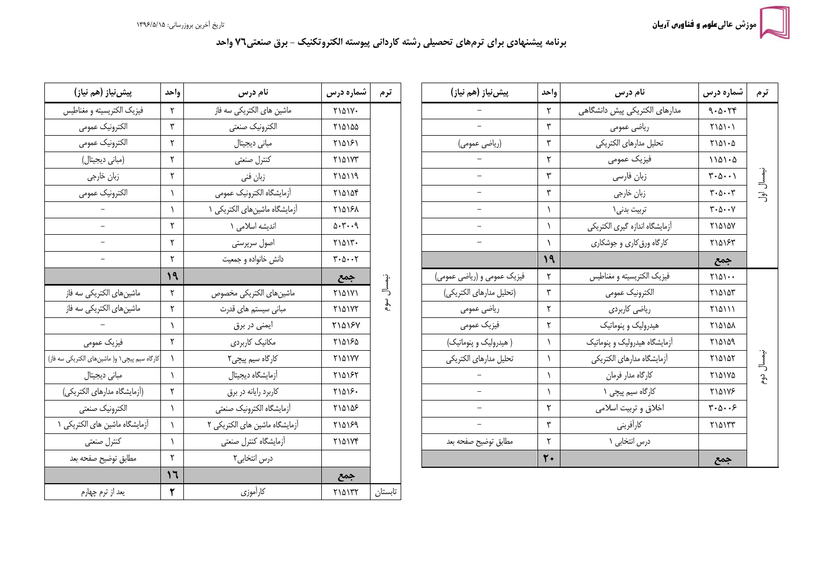## برنامه پیشنهادی برای ترمهای تحصیلی رشته کاردانی پیوسته الکتروتکنیک - برق صنعتی۷۲ واحد

| پیش نیاز (هم نیاز)          | واحد | نام درس                        | شماره درس                                      | ترم        |
|-----------------------------|------|--------------------------------|------------------------------------------------|------------|
|                             | ٢    | مدارهای الکتریکی پیش دانشگاهی  | 9.0.79                                         |            |
|                             | ٣    | رياضي عمومي                    | $Y\backslash\Delta\backslash\cdot\backslash$   |            |
| (رياضي عمومي)               | ٣    | تحليل مدارهاى الكتريكي         | $Y \setminus \Delta \setminus \cdot \Delta$    |            |
|                             | ٢    | فيزيک عمومي                    | $1101 - 0$                                     |            |
|                             | ٣    | زبان فارسى                     | $\mathbf{r}\cdot\mathbf{r}\cdot\mathbf{r}$     |            |
|                             | ٣    | زبان خارجي                     | $\mathbf{r} \cdot \mathbf{r} \cdot \mathbf{r}$ | نيمسال اول |
|                             | ١    | تربيت بدني\                    | $\mathbf{y} \cdot \mathbf{y} \cdot \mathbf{y}$ |            |
|                             | ١    | أزمايشگاه اندازه گيري الكتريكي | <b>71010V</b>                                  |            |
|                             | ١    | کارگاه ورق کاری و جوشکاری      | ٢١۵١۶٣                                         |            |
|                             | 19   |                                | جمع                                            |            |
| فیزیک عمومی و (ریاضی عمومی) | ٢    | فيزيك الكتريسيته و مغناطيس     | $\Gamma\backslash\Delta\backslash\cdots$       |            |
| (تحليل مدارهاي الكتريكي)    | ٣    | الكترونيك عمومى                | ٢١۵١٥٣                                         |            |
| رياضي عمومي                 | ٢    | ریاضی کاربردی                  | <b>MAIII</b>                                   |            |
| فيزيك عمومي                 | ٢    | هیدرولیک و پنوماتیک            | ٢١۵١۵٨                                         |            |
| ( هیدرولیک و پنوماتیک)      | ١    | آزمایشگاه هیدرولیک و پنوماتیک  | ٢١۵١۵٩                                         |            |
| تحليل مدارهاى الكتريكي      | ١    | أزمايشكاه مدارهاي الكتريكي     | ٢١۵١۵٢                                         | نيمسال دوء |
|                             | ١    | كارگاه مدار فرمان              | ٢١۵١٧٥                                         |            |
|                             | ١    | کارگاه سیم پیچی ۱              | <b>TIAIVS</b>                                  |            |
|                             | ٢    | اخلاق وتربيت اسلامي            | $\mathbf{y} \cdot \mathbf{y} \cdot \mathbf{y}$ |            |
|                             | ٣    | كارأفريني                      | ٢١۵١٣٣                                         |            |
| مطابق توضيح صفحه بعد        | ٢    | درس انتخابی ۱                  |                                                |            |
|                             | ٢٠   |                                | جمع                                            |            |

| پیش نیاز (هم نیاز)                              | واحد      | نام درس                        | شماره درس                                      | ترم     |
|-------------------------------------------------|-----------|--------------------------------|------------------------------------------------|---------|
| فيزيک الکتريسيته و مغناطيس                      | ٢         | ماشین های الکتریکی سه فاز      | <b>MAIV.</b>                                   |         |
| الكترونيك عمومى                                 | ٣         | الكترونيك صنعتى                | ٢١۵١۵۵                                         |         |
| الكترونيك عمومى                                 | ٢         | مبانى ديجيتال                  | ٢١۵١۶١                                         |         |
| (مبانی دیجیتال)                                 | ٢         | كنترل صنعتى                    | <b>MAIVT</b>                                   |         |
| زبان خارجي                                      | ٢         | زبان فني                       | ٢١۵١١٩                                         |         |
| الكترونيك عمومى                                 | $\lambda$ | أزمايشگاه الكترونيك عمومى      | ٢١۵١٥۴                                         |         |
|                                                 | ١         | آزمایشگاه ماشینهای الکتریکی ۱  | 110181                                         |         |
|                                                 | ٢         | اندیشه اسلامی ۱                | 0.7.9                                          |         |
|                                                 | ٢         | اصول سرپرستی                   | $Y \setminus \Delta \setminus Y$ .             |         |
|                                                 | ٢         | دانش خانواده و جمعیت           | $\mathbf{r} \cdot \mathbf{r} \cdot \mathbf{r}$ |         |
|                                                 | ۱۹        |                                | جمع                                            |         |
| ماشینهای الکتریکی سه فاز                        | ٢         | ماشين هاى الكتريكي مخصوص       | <b>MASS</b>                                    | نيمسال  |
| ماشینهای الکتریکی سه فاز                        | ٢         | مبانی سیستم های قدرت           | <b>MAIVT</b>                                   | سوم     |
|                                                 | ١         | ایمنی در برق                   | <b>MAY5V</b>                                   |         |
| فيزيک عمومي                                     | ٢         | مکانیک کاربردی                 | ٢١۵١۶۵                                         |         |
| كارگاه سيم پيچي ١ و( ماشين هاي الكتريكي سه فاز) | ١         | کارگاه سیم پیچی۲               | <b>7141YY</b>                                  |         |
| مبانى ديجيتال                                   | ١         | أزمايشگاه ديجيتال              | ۲۱۵۱۶۲                                         |         |
| (أزمايشگاه مدارهاي الكتريكي)                    | ٢         | كاربرد رايانه در برق           | 71018.                                         |         |
| الكترونيك صنعتى                                 | ١         | أزمايشگاه الكترونيك صنعتى      | ٢١۵١۵۶                                         |         |
| آزمایشگاه ماشین های الکتریکی ۱                  | ١         | آزمایشگاه ماشین های الکتریکی ۲ | ٢١۵١۶٩                                         |         |
| كنترل صنعتى                                     | ١         | أزمايشكاه كنترل صنعتى          | <b>MAIVF</b>                                   |         |
| مطابق توضيح صفحه بعد                            | ٢         | درس انتخابی۲                   |                                                |         |
|                                                 | 17        |                                | جمع                                            |         |
| يعد از ترم چهارم                                | ۲         | كارأموزي                       | ٢١۵١٣٢                                         | تابستان |